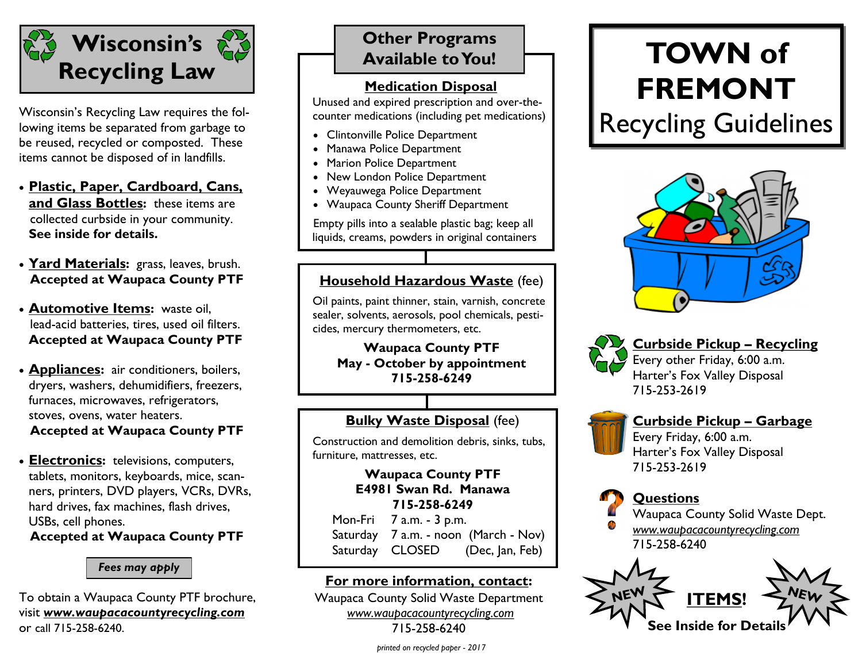

Wisconsin's Recycling Law requires the following items be separated from garbage to be reused, recycled or composted. These items cannot be disposed of in landfills.

- **Plastic, Paper, Cardboard, Cans, and Glass Bottles:** these items are collected curbside in your community. **See inside for details.**
- **Yard Materials:** grass, leaves, brush. **Accepted at Waupaca County PTF**
- **Automotive Items:** waste oil, lead-acid batteries, tires, used oil filters. **Accepted at Waupaca County PTF**
- **Appliances:** air conditioners, boilers, dryers, washers, dehumidifiers, freezers, furnaces, microwaves, refrigerators, stoves, ovens, water heaters. **Accepted at Waupaca County PTF**
- **Electronics:** televisions, computers, tablets, monitors, keyboards, mice, scanners, printers, DVD players, VCRs, DVRs, hard drives, fax machines, flash drives, USBs, cell phones. **Accepted at Waupaca County PTF**

#### *Fees may apply*

To obtain a Waupaca County PTF brochure, visit *www.waupacacountyrecycling.com*  or call 715-258-6240.

## **Other Programs Available to You!**

### **Medication Disposal**

Unused and expired prescription and over-thecounter medications (including pet medications)

- Clintonville Police Department
- Manawa Police Department
- Marion Police Department
- New London Police Department
- Weyauwega Police Department
- Waupaca County Sheriff Department

Empty pills into a sealable plastic bag; keep all liquids, creams, powders in original containers

## **Household Hazardous Waste** (fee)

Oil paints, paint thinner, stain, varnish, concrete sealer, solvents, aerosols, pool chemicals, pesticides, mercury thermometers, etc.

**Waupaca County PTF May - October by appointment 715-258-6249**

## **Bulky Waste Disposal** (fee)

Construction and demolition debris, sinks, tubs, furniture, mattresses, etc.

#### **Waupaca County PTF E4981 Swan Rd. Manawa 715-258-6249**

Mon-Fri 7 a.m. - 3 p.m. Saturday 7 a.m. - noon (March - Nov) Saturday CLOSED (Dec, Jan, Feb)

### **For more information, contact:**

Waupaca County Solid Waste Department *www.waupacacountyrecycling.com* 715-258-6240

#### *printed on recycled paper - 2017*

# **TOWN of FREMONT**

Recycling Guidelines





**Curbside Pickup – Recycling**  Every other Friday, 6:00 a.m. Harter's Fox Valley Disposal

715-253-2619



#### **Curbside Pickup – Garbage** Every Friday, 6:00 a.m. Harter's Fox Valley Disposal 715-253-2619



Waupaca County Solid Waste Dept. *www.waupacacountyrecycling.com* 715-258-6240